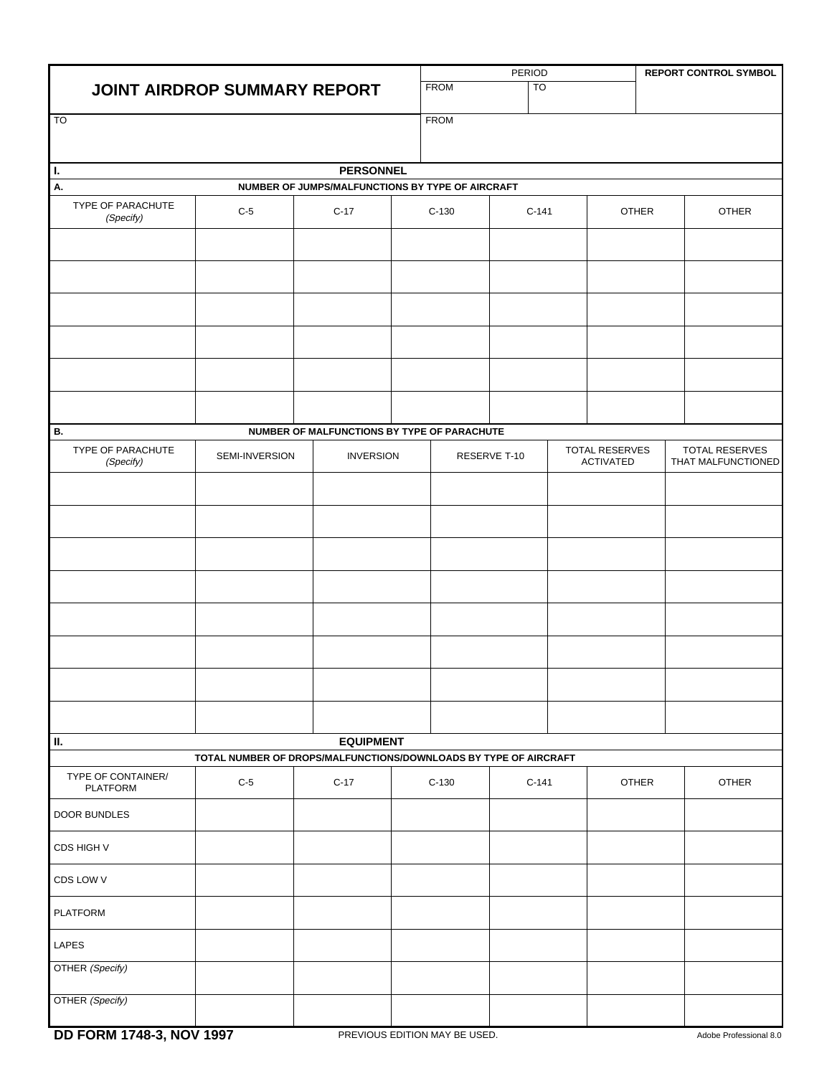| <b>JOINT AIRDROP SUMMARY REPORT</b>                              |                                     |                                                  |                  | PERIOD                   |         |                                           |              | <b>REPORT CONTROL SYMBOL</b> |                                      |
|------------------------------------------------------------------|-------------------------------------|--------------------------------------------------|------------------|--------------------------|---------|-------------------------------------------|--------------|------------------------------|--------------------------------------|
|                                                                  |                                     |                                                  |                  | <b>TO</b><br><b>FROM</b> |         |                                           |              |                              |                                      |
| <b>TO</b>                                                        |                                     |                                                  |                  | <b>FROM</b>              |         |                                           |              |                              |                                      |
|                                                                  |                                     |                                                  |                  |                          |         |                                           |              |                              |                                      |
| Ι.                                                               |                                     | <b>PERSONNEL</b>                                 |                  |                          |         |                                           |              |                              |                                      |
| А.                                                               |                                     | NUMBER OF JUMPS/MALFUNCTIONS BY TYPE OF AIRCRAFT |                  |                          |         |                                           |              |                              |                                      |
| TYPE OF PARACHUTE<br>(Specify)                                   | $C-5$                               |                                                  |                  | $C-130$                  |         | $C-141$                                   |              | OTHER                        | OTHER                                |
|                                                                  |                                     |                                                  |                  |                          |         |                                           |              |                              |                                      |
|                                                                  |                                     |                                                  |                  |                          |         |                                           |              |                              |                                      |
|                                                                  |                                     |                                                  |                  |                          |         |                                           |              |                              |                                      |
|                                                                  |                                     |                                                  |                  |                          |         |                                           |              |                              |                                      |
|                                                                  |                                     |                                                  |                  |                          |         |                                           |              |                              |                                      |
|                                                                  |                                     |                                                  |                  |                          |         |                                           |              |                              |                                      |
| В.                                                               |                                     | NUMBER OF MALFUNCTIONS BY TYPE OF PARACHUTE      |                  |                          |         |                                           |              |                              |                                      |
| (Specify)                                                        | TYPE OF PARACHUTE<br>SEMI-INVERSION |                                                  | <b>INVERSION</b> | RESERVE T-10             |         | <b>TOTAL RESERVES</b><br><b>ACTIVATED</b> |              |                              | TOTAL RESERVES<br>THAT MALFUNCTIONED |
|                                                                  |                                     |                                                  |                  |                          |         |                                           |              |                              |                                      |
|                                                                  |                                     |                                                  |                  |                          |         |                                           |              |                              |                                      |
|                                                                  |                                     |                                                  |                  |                          |         |                                           |              |                              |                                      |
|                                                                  |                                     |                                                  |                  |                          |         |                                           |              |                              |                                      |
|                                                                  |                                     |                                                  |                  |                          |         |                                           |              |                              |                                      |
|                                                                  |                                     |                                                  |                  |                          |         |                                           |              |                              |                                      |
|                                                                  |                                     |                                                  |                  |                          |         |                                           |              |                              |                                      |
|                                                                  |                                     |                                                  |                  |                          |         |                                           |              |                              |                                      |
| П.                                                               |                                     | <b>EQUIPMENT</b>                                 |                  |                          |         |                                           |              |                              |                                      |
| TOTAL NUMBER OF DROPS/MALFUNCTIONS/DOWNLOADS BY TYPE OF AIRCRAFT |                                     |                                                  |                  |                          |         |                                           |              |                              |                                      |
| TYPE OF CONTAINER/<br>PLATFORM                                   | $C-5$                               | $C-17$                                           |                  | $C-130$                  | $C-141$ |                                           | <b>OTHER</b> |                              | OTHER                                |
| DOOR BUNDLES                                                     |                                     |                                                  |                  |                          |         |                                           |              |                              |                                      |
| CDS HIGH V                                                       |                                     |                                                  |                  |                          |         |                                           |              |                              |                                      |
| CDS LOW V                                                        |                                     |                                                  |                  |                          |         |                                           |              |                              |                                      |
| <b>PLATFORM</b>                                                  |                                     |                                                  |                  |                          |         |                                           |              |                              |                                      |
| LAPES                                                            |                                     |                                                  |                  |                          |         |                                           |              |                              |                                      |
| OTHER (Specify)                                                  |                                     |                                                  |                  |                          |         |                                           |              |                              |                                      |
| OTHER (Specify)                                                  |                                     |                                                  |                  |                          |         |                                           |              |                              |                                      |